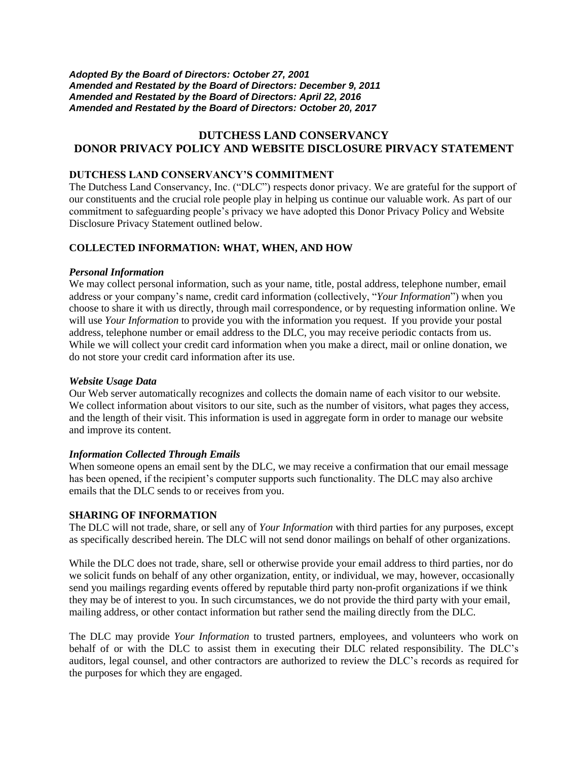*Adopted By the Board of Directors: October 27, 2001 Amended and Restated by the Board of Directors: December 9, 2011 Amended and Restated by the Board of Directors: April 22, 2016 Amended and Restated by the Board of Directors: October 20, 2017* 

# **DUTCHESS LAND CONSERVANCY DONOR PRIVACY POLICY AND WEBSITE DISCLOSURE PIRVACY STATEMENT**

## **DUTCHESS LAND CONSERVANCY'S COMMITMENT**

The Dutchess Land Conservancy, Inc. ("DLC") respects donor privacy. We are grateful for the support of our constituents and the crucial role people play in helping us continue our valuable work. As part of our commitment to safeguarding people's privacy we have adopted this Donor Privacy Policy and Website Disclosure Privacy Statement outlined below.

## **COLLECTED INFORMATION: WHAT, WHEN, AND HOW**

#### *Personal Information*

We may collect personal information, such as your name, title, postal address, telephone number, email address or your company's name, credit card information (collectively, "*Your Information*") when you choose to share it with us directly, through mail correspondence, or by requesting information online. We will use *Your Information* to provide you with the information you request. If you provide your postal address, telephone number or email address to the DLC, you may receive periodic contacts from us. While we will collect your credit card information when you make a direct, mail or online donation, we do not store your credit card information after its use.

## *Website Usage Data*

Our Web server automatically recognizes and collects the domain name of each visitor to our website. We collect information about visitors to our site, such as the number of visitors, what pages they access, and the length of their visit. This information is used in aggregate form in order to manage our website and improve its content.

## *Information Collected Through Emails*

When someone opens an email sent by the DLC, we may receive a confirmation that our email message has been opened, if the recipient's computer supports such functionality. The DLC may also archive emails that the DLC sends to or receives from you.

## **SHARING OF INFORMATION**

The DLC will not trade, share, or sell any of *Your Information* with third parties for any purposes, except as specifically described herein. The DLC will not send donor mailings on behalf of other organizations.

While the DLC does not trade, share, sell or otherwise provide your email address to third parties, nor do we solicit funds on behalf of any other organization, entity, or individual, we may, however, occasionally send you mailings regarding events offered by reputable third party non-profit organizations if we think they may be of interest to you. In such circumstances, we do not provide the third party with your email, mailing address, or other contact information but rather send the mailing directly from the DLC.

The DLC may provide *Your Information* to trusted partners, employees, and volunteers who work on behalf of or with the DLC to assist them in executing their DLC related responsibility. The DLC's auditors, legal counsel, and other contractors are authorized to review the DLC's records as required for the purposes for which they are engaged.